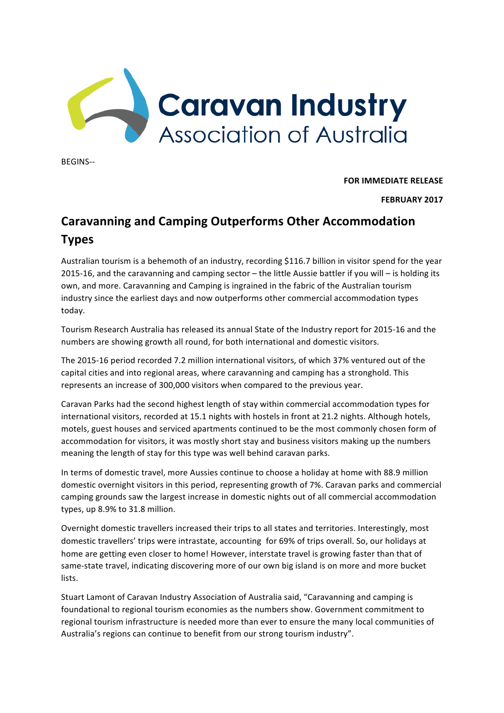

BEGINS--

**FOR IMMEDIATE RELEASE** 

**FEBRUARY 2017**

## **Caravanning and Camping Outperforms Other Accommodation Types**

Australian tourism is a behemoth of an industry, recording \$116.7 billion in visitor spend for the year 2015-16, and the caravanning and camping sector – the little Aussie battler if you will – is holding its own, and more. Caravanning and Camping is ingrained in the fabric of the Australian tourism industry since the earliest days and now outperforms other commercial accommodation types today. 

Tourism Research Australia has released its annual State of the Industry report for 2015-16 and the numbers are showing growth all round, for both international and domestic visitors.

The 2015-16 period recorded 7.2 million international visitors, of which 37% ventured out of the capital cities and into regional areas, where caravanning and camping has a stronghold. This represents an increase of 300,000 visitors when compared to the previous year.

Caravan Parks had the second highest length of stay within commercial accommodation types for international visitors, recorded at 15.1 nights with hostels in front at 21.2 nights. Although hotels, motels, guest houses and serviced apartments continued to be the most commonly chosen form of accommodation for visitors, it was mostly short stay and business visitors making up the numbers meaning the length of stay for this type was well behind caravan parks.

In terms of domestic travel, more Aussies continue to choose a holiday at home with 88.9 million domestic overnight visitors in this period, representing growth of 7%. Caravan parks and commercial camping grounds saw the largest increase in domestic nights out of all commercial accommodation types, up 8.9% to 31.8 million.

Overnight domestic travellers increased their trips to all states and territories. Interestingly, most domestic travellers' trips were intrastate, accounting for 69% of trips overall. So, our holidays at home are getting even closer to home! However, interstate travel is growing faster than that of same-state travel, indicating discovering more of our own big island is on more and more bucket lists.

Stuart Lamont of Caravan Industry Association of Australia said, "Caravanning and camping is foundational to regional tourism economies as the numbers show. Government commitment to regional tourism infrastructure is needed more than ever to ensure the many local communities of Australia's regions can continue to benefit from our strong tourism industry".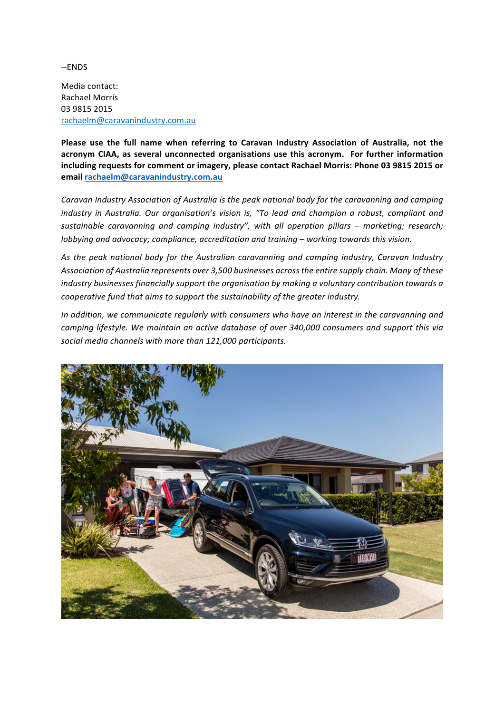--ENDS

Media contact: Rachael Morris 03 9815 2015 rachaelm@caravanindustry.com.au

Please use the full name when referring to Caravan Industry Association of Australia, not the acronym CIAA, as several unconnected organisations use this acronym. For further information including requests for comment or imagery, please contact Rachael Morris: Phone 03 9815 2015 or **email rachaelm@caravanindustry.com.au**

Caravan Industry Association of Australia is the peak national body for the caravanning and camping *industry in Australia. Our organisation's vision is, "To lead and champion a robust, compliant and sustainable caravanning and camping industry", with all operation pillars – marketing; research; lobbying* and advocacy; compliance, accreditation and training – working towards this vision.

As the peak national body for the Australian caravanning and camping industry, Caravan Industry Association of Australia represents over 3,500 businesses across the entire supply chain. Many of these *industry businesses financially support the organisation by making a voluntary contribution towards a cooperative fund that aims to support the sustainability of the greater industry.* 

In addition, we communicate regularly with consumers who have an interest in the caravanning and *camping lifestyle.* We maintain an active database of over 340,000 consumers and support this via social media channels with more than 121,000 participants.